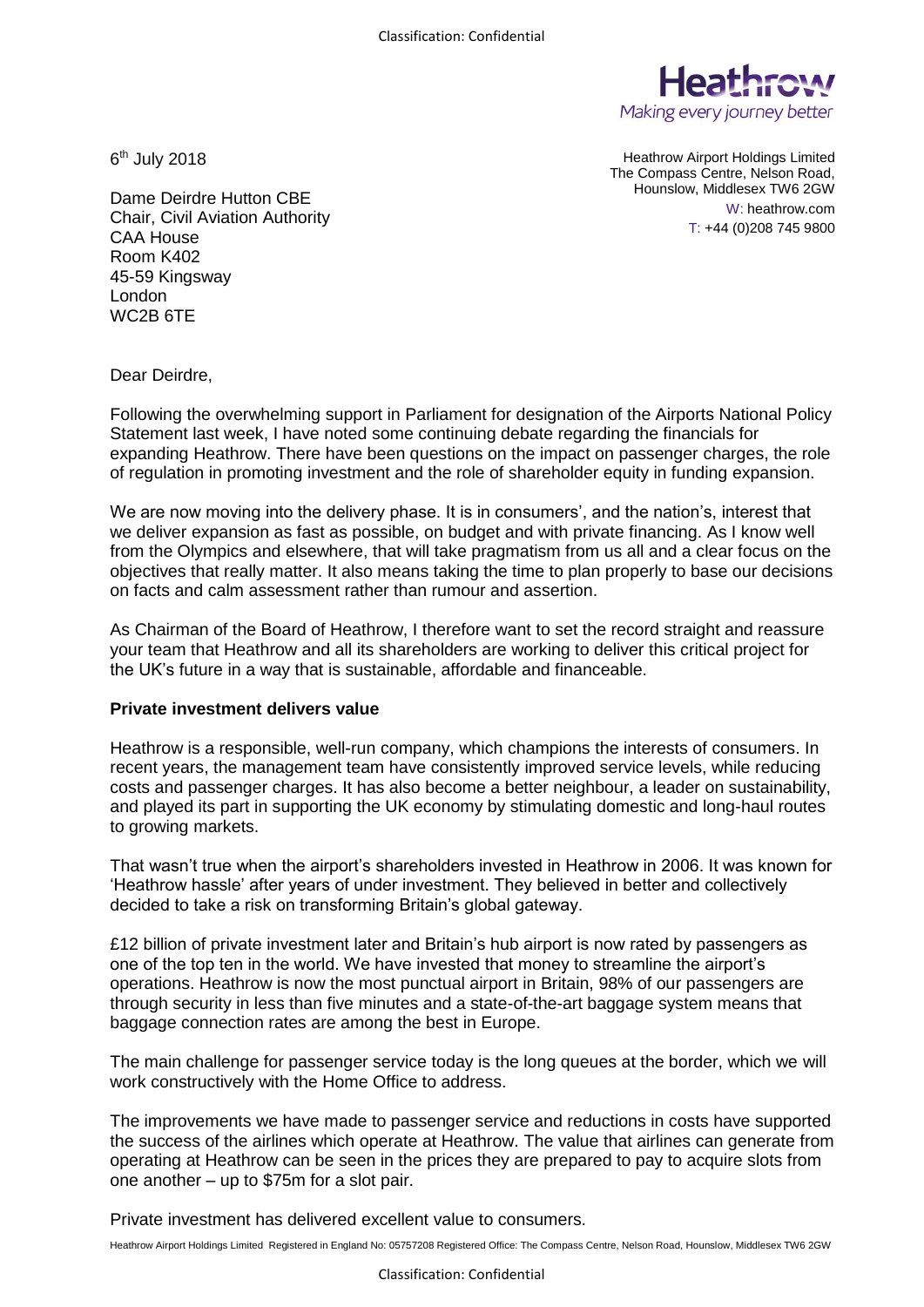

6<sup>th</sup> July 2018

Heathrow Airport Holdings Limited The Compass Centre, Nelson Road, Hounslow, Middlesex TW6 2GW W: heathrow.com T: +44 (0)208 745 9800

Dame Deirdre Hutton CBE Chair, Civil Aviation Authority CAA House Room K402 45-59 Kingsway London WC2B 6TE

Dear Deirdre,

Following the overwhelming support in Parliament for designation of the Airports National Policy Statement last week, I have noted some continuing debate regarding the financials for expanding Heathrow. There have been questions on the impact on passenger charges, the role of regulation in promoting investment and the role of shareholder equity in funding expansion.

We are now moving into the delivery phase. It is in consumers', and the nation's, interest that we deliver expansion as fast as possible, on budget and with private financing. As I know well from the Olympics and elsewhere, that will take pragmatism from us all and a clear focus on the objectives that really matter. It also means taking the time to plan properly to base our decisions on facts and calm assessment rather than rumour and assertion.

As Chairman of the Board of Heathrow, I therefore want to set the record straight and reassure your team that Heathrow and all its shareholders are working to deliver this critical project for the UK's future in a way that is sustainable, affordable and financeable.

## **Private investment delivers value**

Heathrow is a responsible, well-run company, which champions the interests of consumers. In recent years, the management team have consistently improved service levels, while reducing costs and passenger charges. It has also become a better neighbour, a leader on sustainability, and played its part in supporting the UK economy by stimulating domestic and long-haul routes to growing markets.

That wasn't true when the airport's shareholders invested in Heathrow in 2006. It was known for 'Heathrow hassle' after years of under investment. They believed in better and collectively decided to take a risk on transforming Britain's global gateway.

£12 billion of private investment later and Britain's hub airport is now rated by passengers as one of the top ten in the world. We have invested that money to streamline the airport's operations. Heathrow is now the most punctual airport in Britain, 98% of our passengers are through security in less than five minutes and a state-of-the-art baggage system means that baggage connection rates are among the best in Europe.

The main challenge for passenger service today is the long queues at the border, which we will work constructively with the Home Office to address.

The improvements we have made to passenger service and reductions in costs have supported the success of the airlines which operate at Heathrow. The value that airlines can generate from operating at Heathrow can be seen in the prices they are prepared to pay to acquire slots from one another – up to \$75m for a slot pair.

Private investment has delivered excellent value to consumers.

Heathrow Airport Holdings Limited Registered in England No: 05757208 Registered Office: The Compass Centre, Nelson Road, Hounslow, Middlesex TW6 2GW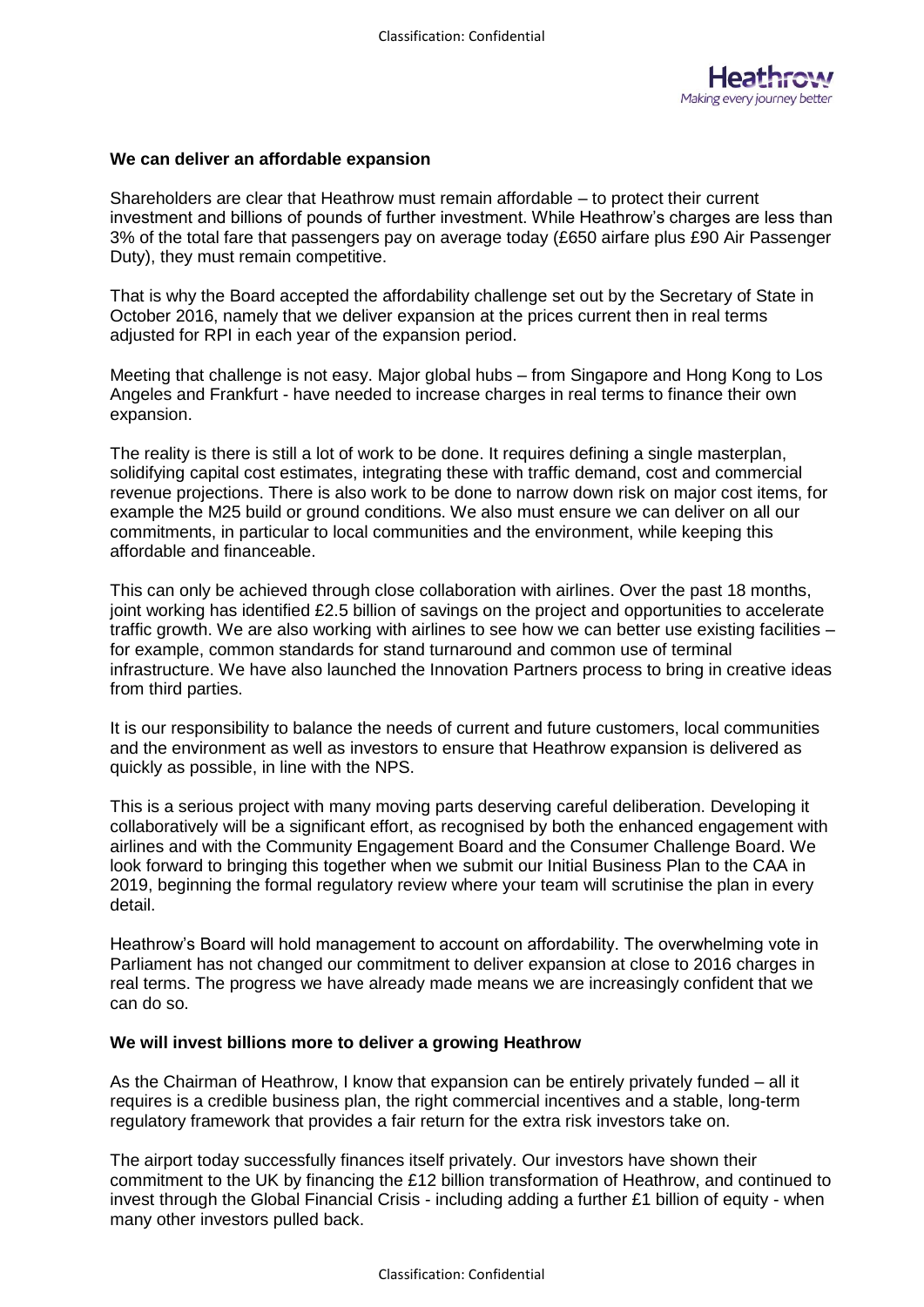

## **We can deliver an affordable expansion**

Shareholders are clear that Heathrow must remain affordable – to protect their current investment and billions of pounds of further investment. While Heathrow's charges are less than 3% of the total fare that passengers pay on average today (£650 airfare plus £90 Air Passenger Duty), they must remain competitive.

That is why the Board accepted the affordability challenge set out by the Secretary of State in October 2016, namely that we deliver expansion at the prices current then in real terms adjusted for RPI in each year of the expansion period.

Meeting that challenge is not easy. Major global hubs – from Singapore and Hong Kong to Los Angeles and Frankfurt - have needed to increase charges in real terms to finance their own expansion.

The reality is there is still a lot of work to be done. It requires defining a single masterplan, solidifying capital cost estimates, integrating these with traffic demand, cost and commercial revenue projections. There is also work to be done to narrow down risk on major cost items, for example the M25 build or ground conditions. We also must ensure we can deliver on all our commitments, in particular to local communities and the environment, while keeping this affordable and financeable.

This can only be achieved through close collaboration with airlines. Over the past 18 months, joint working has identified £2.5 billion of savings on the project and opportunities to accelerate traffic growth. We are also working with airlines to see how we can better use existing facilities – for example, common standards for stand turnaround and common use of terminal infrastructure. We have also launched the Innovation Partners process to bring in creative ideas from third parties.

It is our responsibility to balance the needs of current and future customers, local communities and the environment as well as investors to ensure that Heathrow expansion is delivered as quickly as possible, in line with the NPS.

This is a serious project with many moving parts deserving careful deliberation. Developing it collaboratively will be a significant effort, as recognised by both the enhanced engagement with airlines and with the Community Engagement Board and the Consumer Challenge Board. We look forward to bringing this together when we submit our Initial Business Plan to the CAA in 2019, beginning the formal regulatory review where your team will scrutinise the plan in every detail.

Heathrow's Board will hold management to account on affordability. The overwhelming vote in Parliament has not changed our commitment to deliver expansion at close to 2016 charges in real terms. The progress we have already made means we are increasingly confident that we can do so.

## **We will invest billions more to deliver a growing Heathrow**

As the Chairman of Heathrow, I know that expansion can be entirely privately funded – all it requires is a credible business plan, the right commercial incentives and a stable, long-term regulatory framework that provides a fair return for the extra risk investors take on.

The airport today successfully finances itself privately. Our investors have shown their commitment to the UK by financing the £12 billion transformation of Heathrow, and continued to invest through the Global Financial Crisis - including adding a further £1 billion of equity - when many other investors pulled back.